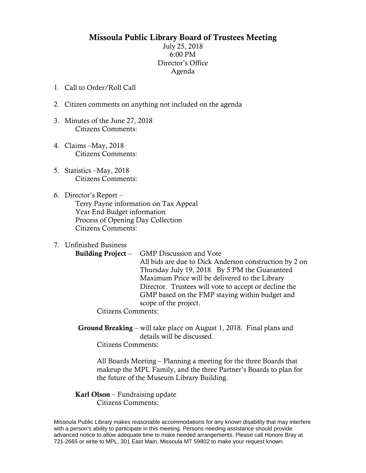## Missoula Public Library Board of Trustees Meeting

July 25, 2018 6:00 PM Director's Office Agenda

- 1. Call to Order/Roll Call
- 2. Citizen comments on anything not included on the agenda
- 3. Minutes of the June 27, 2018 Citizens Comments:
- 4. Claims –May, 2018 Citizens Comments:
- 5. Statistics –May, 2018 Citizens Comments:
- 6. Director's Report Terry Payne information on Tax Appeal Year End Budget information Process of Opening Day Collection Citizens Comments:
- 7. Unfinished Business

Building Project – GMP Discussion and Vote All bids are due to Dick Anderson construction by 2 on Thursday July 19, 2018. By 5 PM the Guaranteed Maximum Price will be delivered to the Library Director. Trustees will vote to accept or decline the GMP based on the FMP staying within budget and scope of the project.

Citizens Comments:

Ground Breaking – will take place on August 1, 2018. Final plans and details will be discussed.

Citizens Comments:

All Boards Meeting – Planning a meeting for the three Boards that makeup the MPL Family, and the three Partner's Boards to plan for the future of the Museum Library Building.

Karl Olson – Fundraising update Citizens Comments:

Missoula Public Library makes reasonable accommodations for any known disability that may interfere with a person's ability to participate in this meeting. Persons needing assistance should provide advanced notice to allow adequate time to make needed arrangements. Please call Honore Bray at 721-2665 or write to MPL, 301 East Main, Missoula MT 59802 to make your request known.